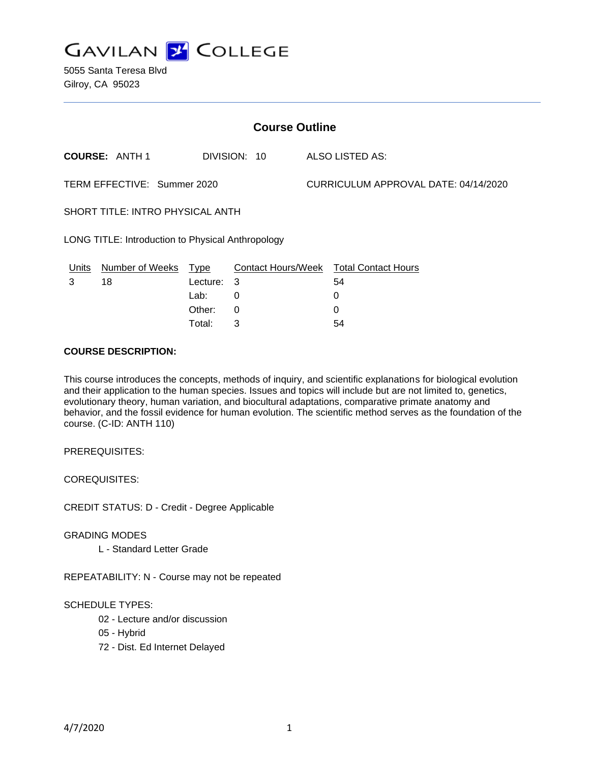

5055 Santa Teresa Blvd Gilroy, CA 95023

| <b>Course Outline</b>                             |                       |          |              |                                      |                                        |
|---------------------------------------------------|-----------------------|----------|--------------|--------------------------------------|----------------------------------------|
|                                                   | <b>COURSE: ANTH 1</b> |          | DIVISION: 10 |                                      | ALSO LISTED AS:                        |
| TERM EFFECTIVE: Summer 2020                       |                       |          |              | CURRICULUM APPROVAL DATE: 04/14/2020 |                                        |
| SHORT TITLE: INTRO PHYSICAL ANTH                  |                       |          |              |                                      |                                        |
| LONG TITLE: Introduction to Physical Anthropology |                       |          |              |                                      |                                        |
| Units                                             | Number of Weeks Type  |          |              |                                      | Contact Hours/Week Total Contact Hours |
| 3                                                 | 18                    | Lecture: | 3            |                                      | 54                                     |
|                                                   |                       | Lab:     | 0            |                                      | 0                                      |
|                                                   |                       | Other:   | 0            |                                      | 0                                      |
|                                                   |                       | Total:   | 3            |                                      | 54                                     |

## **COURSE DESCRIPTION:**

This course introduces the concepts, methods of inquiry, and scientific explanations for biological evolution and their application to the human species. Issues and topics will include but are not limited to, genetics, evolutionary theory, human variation, and biocultural adaptations, comparative primate anatomy and behavior, and the fossil evidence for human evolution. The scientific method serves as the foundation of the course. (C-ID: ANTH 110)

PREREQUISITES:

COREQUISITES:

CREDIT STATUS: D - Credit - Degree Applicable

GRADING MODES

L - Standard Letter Grade

REPEATABILITY: N - Course may not be repeated

SCHEDULE TYPES:

02 - Lecture and/or discussion

- 05 Hybrid
- 72 Dist. Ed Internet Delayed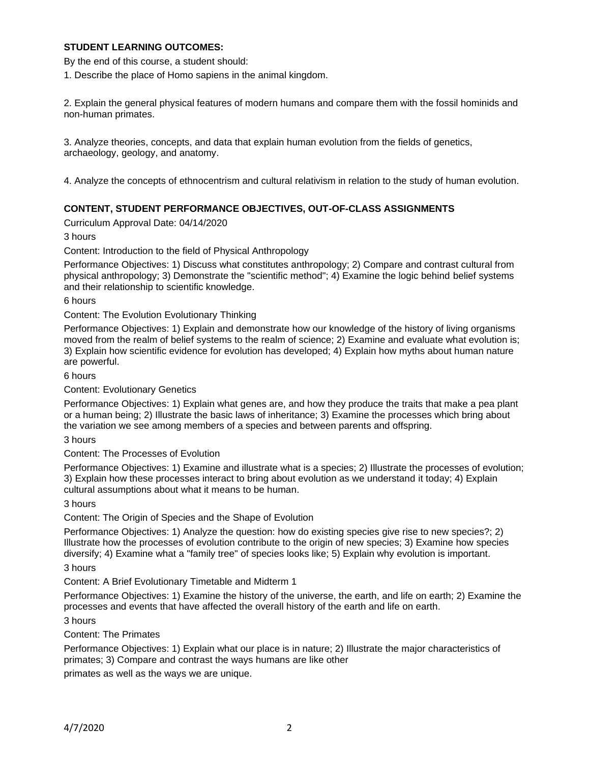## **STUDENT LEARNING OUTCOMES:**

By the end of this course, a student should:

1. Describe the place of Homo sapiens in the animal kingdom.

2. Explain the general physical features of modern humans and compare them with the fossil hominids and non-human primates.

3. Analyze theories, concepts, and data that explain human evolution from the fields of genetics, archaeology, geology, and anatomy.

4. Analyze the concepts of ethnocentrism and cultural relativism in relation to the study of human evolution.

## **CONTENT, STUDENT PERFORMANCE OBJECTIVES, OUT-OF-CLASS ASSIGNMENTS**

Curriculum Approval Date: 04/14/2020

3 hours

Content: Introduction to the field of Physical Anthropology

Performance Objectives: 1) Discuss what constitutes anthropology; 2) Compare and contrast cultural from physical anthropology; 3) Demonstrate the "scientific method"; 4) Examine the logic behind belief systems and their relationship to scientific knowledge.

6 hours

Content: The Evolution Evolutionary Thinking

Performance Objectives: 1) Explain and demonstrate how our knowledge of the history of living organisms moved from the realm of belief systems to the realm of science; 2) Examine and evaluate what evolution is; 3) Explain how scientific evidence for evolution has developed; 4) Explain how myths about human nature are powerful.

6 hours

Content: Evolutionary Genetics

Performance Objectives: 1) Explain what genes are, and how they produce the traits that make a pea plant or a human being; 2) Illustrate the basic laws of inheritance; 3) Examine the processes which bring about the variation we see among members of a species and between parents and offspring.

3 hours

Content: The Processes of Evolution

Performance Objectives: 1) Examine and illustrate what is a species; 2) Illustrate the processes of evolution; 3) Explain how these processes interact to bring about evolution as we understand it today; 4) Explain cultural assumptions about what it means to be human.

3 hours

Content: The Origin of Species and the Shape of Evolution

Performance Objectives: 1) Analyze the question: how do existing species give rise to new species?; 2) Illustrate how the processes of evolution contribute to the origin of new species; 3) Examine how species diversify; 4) Examine what a "family tree" of species looks like; 5) Explain why evolution is important. 3 hours

Content: A Brief Evolutionary Timetable and Midterm 1

Performance Objectives: 1) Examine the history of the universe, the earth, and life on earth; 2) Examine the processes and events that have affected the overall history of the earth and life on earth.

3 hours

Content: The Primates

Performance Objectives: 1) Explain what our place is in nature; 2) Illustrate the major characteristics of primates; 3) Compare and contrast the ways humans are like other

primates as well as the ways we are unique.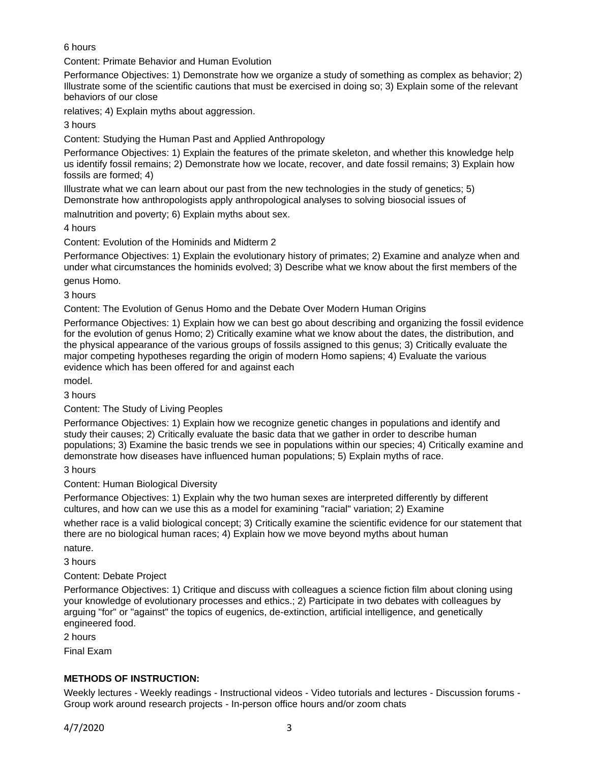6 hours

Content: Primate Behavior and Human Evolution

Performance Objectives: 1) Demonstrate how we organize a study of something as complex as behavior; 2) Illustrate some of the scientific cautions that must be exercised in doing so; 3) Explain some of the relevant behaviors of our close

relatives; 4) Explain myths about aggression.

3 hours

Content: Studying the Human Past and Applied Anthropology

Performance Objectives: 1) Explain the features of the primate skeleton, and whether this knowledge help us identify fossil remains; 2) Demonstrate how we locate, recover, and date fossil remains; 3) Explain how fossils are formed; 4)

Illustrate what we can learn about our past from the new technologies in the study of genetics; 5) Demonstrate how anthropologists apply anthropological analyses to solving biosocial issues of

malnutrition and poverty; 6) Explain myths about sex.

4 hours

Content: Evolution of the Hominids and Midterm 2

Performance Objectives: 1) Explain the evolutionary history of primates; 2) Examine and analyze when and under what circumstances the hominids evolved; 3) Describe what we know about the first members of the genus Homo.

3 hours

Content: The Evolution of Genus Homo and the Debate Over Modern Human Origins

Performance Objectives: 1) Explain how we can best go about describing and organizing the fossil evidence for the evolution of genus Homo; 2) Critically examine what we know about the dates, the distribution, and the physical appearance of the various groups of fossils assigned to this genus; 3) Critically evaluate the major competing hypotheses regarding the origin of modern Homo sapiens; 4) Evaluate the various evidence which has been offered for and against each

model.

3 hours

Content: The Study of Living Peoples

Performance Objectives: 1) Explain how we recognize genetic changes in populations and identify and study their causes; 2) Critically evaluate the basic data that we gather in order to describe human populations; 3) Examine the basic trends we see in populations within our species; 4) Critically examine and demonstrate how diseases have influenced human populations; 5) Explain myths of race.

3 hours

Content: Human Biological Diversity

Performance Objectives: 1) Explain why the two human sexes are interpreted differently by different cultures, and how can we use this as a model for examining "racial" variation; 2) Examine

whether race is a valid biological concept; 3) Critically examine the scientific evidence for our statement that there are no biological human races; 4) Explain how we move beyond myths about human

nature.

3 hours

## Content: Debate Project

Performance Objectives: 1) Critique and discuss with colleagues a science fiction film about cloning using your knowledge of evolutionary processes and ethics.; 2) Participate in two debates with colleagues by arguing "for" or "against" the topics of eugenics, de-extinction, artificial intelligence, and genetically engineered food.

2 hours

Final Exam

# **METHODS OF INSTRUCTION:**

Weekly lectures - Weekly readings - Instructional videos - Video tutorials and lectures - Discussion forums - Group work around research projects - In-person office hours and/or zoom chats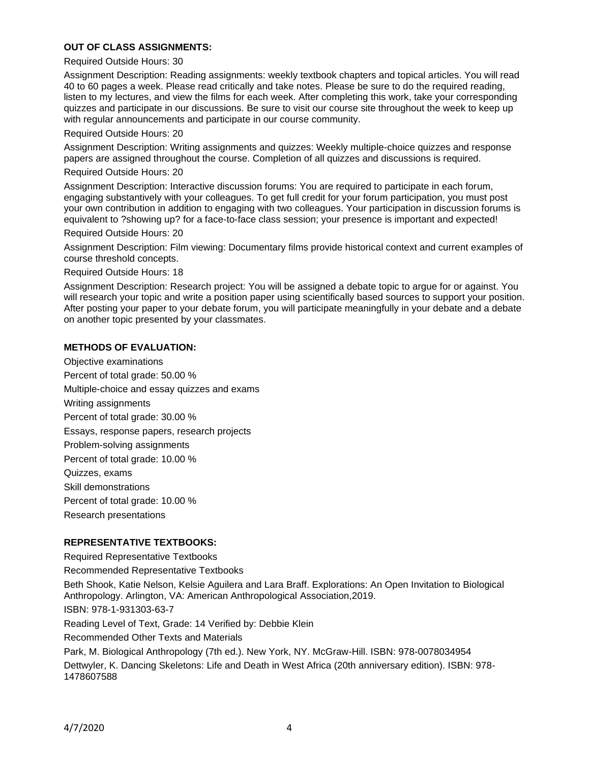## **OUT OF CLASS ASSIGNMENTS:**

#### Required Outside Hours: 30

Assignment Description: Reading assignments: weekly textbook chapters and topical articles. You will read 40 to 60 pages a week. Please read critically and take notes. Please be sure to do the required reading, listen to my lectures, and view the films for each week. After completing this work, take your corresponding quizzes and participate in our discussions. Be sure to visit our course site throughout the week to keep up with regular announcements and participate in our course community.

#### Required Outside Hours: 20

Assignment Description: Writing assignments and quizzes: Weekly multiple-choice quizzes and response papers are assigned throughout the course. Completion of all quizzes and discussions is required.

#### Required Outside Hours: 20

Assignment Description: Interactive discussion forums: You are required to participate in each forum, engaging substantively with your colleagues. To get full credit for your forum participation, you must post your own contribution in addition to engaging with two colleagues. Your participation in discussion forums is equivalent to ?showing up? for a face-to-face class session; your presence is important and expected! Required Outside Hours: 20

Assignment Description: Film viewing: Documentary films provide historical context and current examples of course threshold concepts.

Required Outside Hours: 18

Assignment Description: Research project: You will be assigned a debate topic to argue for or against. You will research your topic and write a position paper using scientifically based sources to support your position. After posting your paper to your debate forum, you will participate meaningfully in your debate and a debate on another topic presented by your classmates.

### **METHODS OF EVALUATION:**

Objective examinations Percent of total grade: 50.00 % Multiple-choice and essay quizzes and exams Writing assignments Percent of total grade: 30.00 % Essays, response papers, research projects Problem-solving assignments Percent of total grade: 10.00 % Quizzes, exams Skill demonstrations Percent of total grade: 10.00 % Research presentations

#### **REPRESENTATIVE TEXTBOOKS:**

Required Representative Textbooks

Recommended Representative Textbooks

Beth Shook, Katie Nelson, Kelsie Aguilera and Lara Braff. Explorations: An Open Invitation to Biological Anthropology. Arlington, VA: American Anthropological Association,2019. ISBN: 978-1-931303-63-7

Reading Level of Text, Grade: 14 Verified by: Debbie Klein

Recommended Other Texts and Materials

Park, M. Biological Anthropology (7th ed.). New York, NY. McGraw-Hill. ISBN: 978-0078034954

Dettwyler, K. Dancing Skeletons: Life and Death in West Africa (20th anniversary edition). ISBN: 978- 1478607588